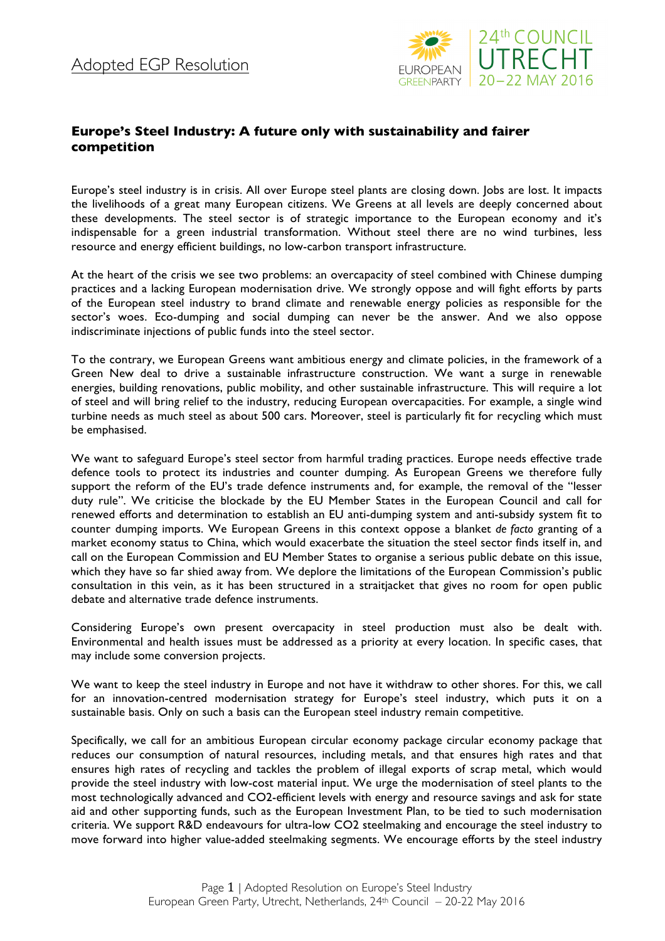

## **Europe's Steel Industry: A future only with sustainability and fairer competition**

Europe's steel industry is in crisis. All over Europe steel plants are closing down. Jobs are lost. It impacts the livelihoods of a great many European citizens. We Greens at all levels are deeply concerned about these developments. The steel sector is of strategic importance to the European economy and it's indispensable for a green industrial transformation. Without steel there are no wind turbines, less resource and energy efficient buildings, no low-carbon transport infrastructure.

At the heart of the crisis we see two problems: an overcapacity of steel combined with Chinese dumping practices and a lacking European modernisation drive. We strongly oppose and will fight efforts by parts of the European steel industry to brand climate and renewable energy policies as responsible for the sector's woes. Eco-dumping and social dumping can never be the answer. And we also oppose indiscriminate injections of public funds into the steel sector.

To the contrary, we European Greens want ambitious energy and climate policies, in the framework of a Green New deal to drive a sustainable infrastructure construction. We want a surge in renewable energies, building renovations, public mobility, and other sustainable infrastructure. This will require a lot of steel and will bring relief to the industry, reducing European overcapacities. For example, a single wind turbine needs as much steel as about 500 cars. Moreover, steel is particularly fit for recycling which must be emphasised.

We want to safeguard Europe's steel sector from harmful trading practices. Europe needs effective trade defence tools to protect its industries and counter dumping. As European Greens we therefore fully support the reform of the EU's trade defence instruments and, for example, the removal of the "lesser duty rule". We criticise the blockade by the EU Member States in the European Council and call for renewed efforts and determination to establish an EU anti-dumping system and anti-subsidy system fit to counter dumping imports. We European Greens in this context oppose a blanket *de facto* granting of a market economy status to China, which would exacerbate the situation the steel sector finds itself in, and call on the European Commission and EU Member States to organise a serious public debate on this issue, which they have so far shied away from. We deplore the limitations of the European Commission's public consultation in this vein, as it has been structured in a straitjacket that gives no room for open public debate and alternative trade defence instruments.

Considering Europe's own present overcapacity in steel production must also be dealt with. Environmental and health issues must be addressed as a priority at every location. In specific cases, that may include some conversion projects.

We want to keep the steel industry in Europe and not have it withdraw to other shores. For this, we call for an innovation-centred modernisation strategy for Europe's steel industry, which puts it on a sustainable basis. Only on such a basis can the European steel industry remain competitive.

Specifically, we call for an ambitious European circular economy package circular economy package that reduces our consumption of natural resources, including metals, and that ensures high rates and that ensures high rates of recycling and tackles the problem of illegal exports of scrap metal, which would provide the steel industry with low-cost material input. We urge the modernisation of steel plants to the most technologically advanced and CO2-efficient levels with energy and resource savings and ask for state aid and other supporting funds, such as the European Investment Plan, to be tied to such modernisation criteria. We support R&D endeavours for ultra-low CO2 steelmaking and encourage the steel industry to move forward into higher value-added steelmaking segments. We encourage efforts by the steel industry